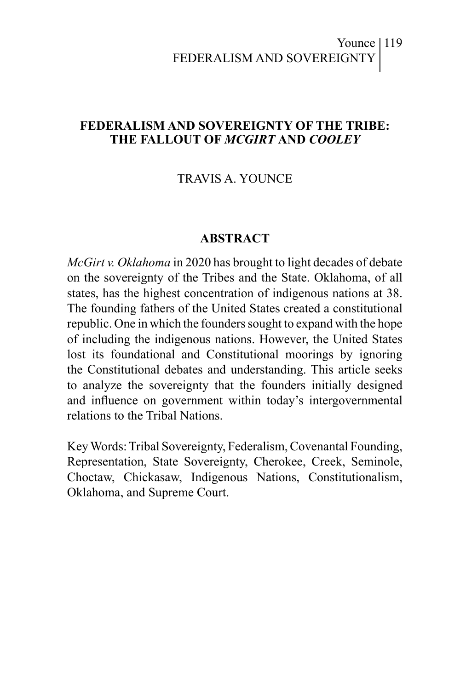#### Younce | 119 FEDERALISM AND SOVEREIGNTY

#### **FEDERALISM AND SOVEREIGNTY OF THE TRIBE: THE FALLOUT OF** *MCGIRT* **AND** *COOLEY*

#### TRAVIS A. YOUNCE

#### **ABSTRACT**

*McGirt v. Oklahoma* in 2020 has brought to light decades of debate on the sovereignty of the Tribes and the State. Oklahoma, of all states, has the highest concentration of indigenous nations at 38. The founding fathers of the United States created a constitutional republic. One in which the founders sought to expand with the hope of including the indigenous nations. However, the United States lost its foundational and Constitutional moorings by ignoring the Constitutional debates and understanding. This article seeks to analyze the sovereignty that the founders initially designed and influence on government within today's intergovernmental relations to the Tribal Nations.

Key Words: Tribal Sovereignty, Federalism, Covenantal Founding, Representation, State Sovereignty, Cherokee, Creek, Seminole, Choctaw, Chickasaw, Indigenous Nations, Constitutionalism, Oklahoma, and Supreme Court.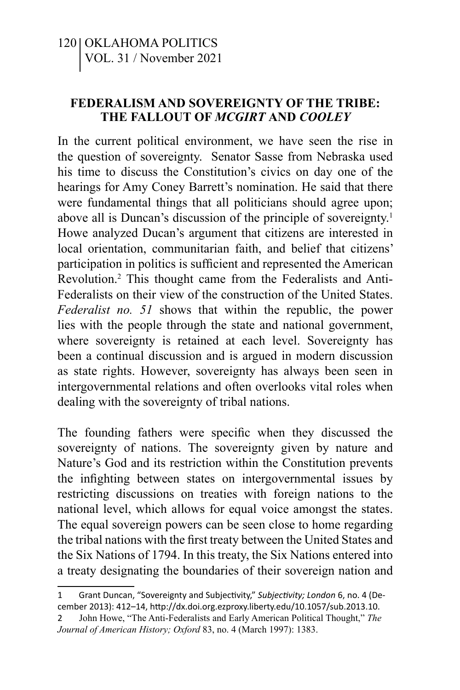#### **FEDERALISM AND SOVEREIGNTY OF THE TRIBE: THE FALLOUT OF** *MCGIRT* **AND** *COOLEY*

In the current political environment, we have seen the rise in the question of sovereignty. Senator Sasse from Nebraska used his time to discuss the Constitution's civics on day one of the hearings for Amy Coney Barrett's nomination. He said that there were fundamental things that all politicians should agree upon; above all is Duncan's discussion of the principle of sovereignty.<sup>1</sup> Howe analyzed Ducan's argument that citizens are interested in local orientation, communitarian faith, and belief that citizens' participation in politics is sufficient and represented the American Revolution.2 This thought came from the Federalists and Anti-Federalists on their view of the construction of the United States. *Federalist no. 51* shows that within the republic, the power lies with the people through the state and national government, where sovereignty is retained at each level. Sovereignty has been a continual discussion and is argued in modern discussion as state rights. However, sovereignty has always been seen in intergovernmental relations and often overlooks vital roles when dealing with the sovereignty of tribal nations.

The founding fathers were specific when they discussed the sovereignty of nations. The sovereignty given by nature and Nature's God and its restriction within the Constitution prevents the infighting between states on intergovernmental issues by restricting discussions on treaties with foreign nations to the national level, which allows for equal voice amongst the states. The equal sovereign powers can be seen close to home regarding the tribal nations with the first treaty between the United States and the Six Nations of 1794. In this treaty, the Six Nations entered into a treaty designating the boundaries of their sovereign nation and

<sup>1</sup>  Grant Duncan, "Sovereignty and Subjectivity," *Subjectivity; London* 6, no. 4 (December 2013): 412–14, http://dx.doi.org.ezproxy.liberty.edu/10.1057/sub.2013.10.

<sup>2</sup> John Howe, "The Anti-Federalists and Early American Political Thought," *The Journal of American History; Oxford* 83, no. 4 (March 1997): 1383.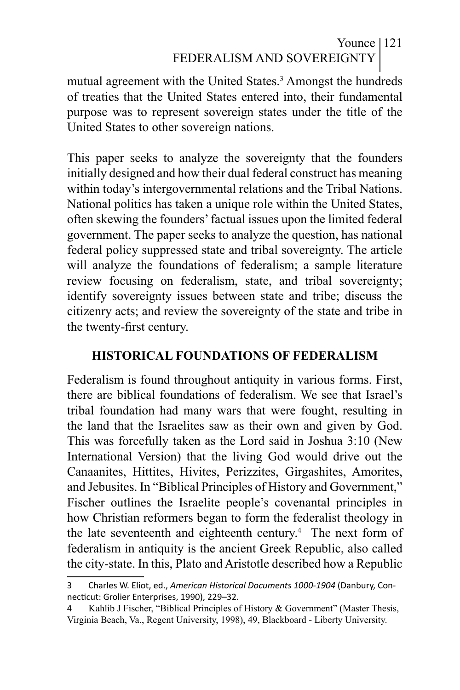# Younce 121 FEDERALISM AND SOVEREIGNTY

mutual agreement with the United States.<sup>3</sup> Amongst the hundreds of treaties that the United States entered into, their fundamental purpose was to represent sovereign states under the title of the United States to other sovereign nations.

This paper seeks to analyze the sovereignty that the founders initially designed and how their dual federal construct has meaning within today's intergovernmental relations and the Tribal Nations. National politics has taken a unique role within the United States, often skewing the founders' factual issues upon the limited federal government. The paper seeks to analyze the question, has national federal policy suppressed state and tribal sovereignty. The article will analyze the foundations of federalism; a sample literature review focusing on federalism, state, and tribal sovereignty; identify sovereignty issues between state and tribe; discuss the citizenry acts; and review the sovereignty of the state and tribe in the twenty-first century.

#### **HISTORICAL FOUNDATIONS OF FEDERALISM**

Federalism is found throughout antiquity in various forms. First, there are biblical foundations of federalism. We see that Israel's tribal foundation had many wars that were fought, resulting in the land that the Israelites saw as their own and given by God. This was forcefully taken as the Lord said in Joshua 3:10 (New International Version) that the living God would drive out the Canaanites, Hittites, Hivites, Perizzites, Girgashites, Amorites, and Jebusites. In "Biblical Principles of History and Government," Fischer outlines the Israelite people's covenantal principles in how Christian reformers began to form the federalist theology in the late seventeenth and eighteenth century.<sup>4</sup> The next form of federalism in antiquity is the ancient Greek Republic, also called the city-state. In this, Plato and Aristotle described how a Republic

<sup>3</sup>  Charles W. Eliot, ed., *American Historical Documents 1000-1904* (Danbury, Connecticut: Grolier Enterprises, 1990), 229–32.

<sup>4</sup> Kahlib J Fischer, "Biblical Principles of History & Government" (Master Thesis, Virginia Beach, Va., Regent University, 1998), 49, Blackboard - Liberty University.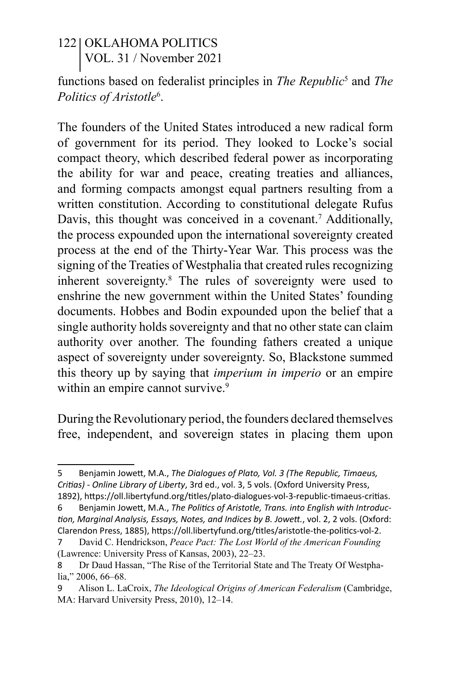functions based on federalist principles in *The Republic*<sup>5</sup> and *The Politics of Aristotle*<sup>6</sup> .

The founders of the United States introduced a new radical form of government for its period. They looked to Locke's social compact theory, which described federal power as incorporating the ability for war and peace, creating treaties and alliances, and forming compacts amongst equal partners resulting from a written constitution. According to constitutional delegate Rufus Davis, this thought was conceived in a covenant.<sup>7</sup> Additionally, the process expounded upon the international sovereignty created process at the end of the Thirty-Year War. This process was the signing of the Treaties of Westphalia that created rules recognizing inherent sovereignty.8 The rules of sovereignty were used to enshrine the new government within the United States' founding documents. Hobbes and Bodin expounded upon the belief that a single authority holds sovereignty and that no other state can claim authority over another. The founding fathers created a unique aspect of sovereignty under sovereignty. So, Blackstone summed this theory up by saying that *imperium in imperio* or an empire within an empire cannot survive.<sup>9</sup>

During the Revolutionary period, the founders declared themselves free, independent, and sovereign states in placing them upon

<sup>5</sup>  Benjamin Jowett, M.A., *The Dialogues of Plato, Vol. 3 (The Republic, Timaeus, Critias) - Online Library of Liberty*, 3rd ed., vol. 3, 5 vols. (Oxford University Press, 1892), https://oll.libertyfund.org/titles/plato-dialogues-vol-3-republic-timaeus-critias.

<sup>6</sup>  Benjamin Jowett, M.A., *The Politics of Aristotle, Trans. into English with Introduction, Marginal Analysis, Essays, Notes, and Indices by B. Jowett.*, vol. 2, 2 vols. (Oxford: Clarendon Press, 1885), https://oll.libertyfund.org/titles/aristotle-the-politics-vol-2.

<sup>7</sup> David C. Hendrickson, *Peace Pact: The Lost World of the American Founding* (Lawrence: University Press of Kansas, 2003), 22–23.

<sup>8</sup> Dr Daud Hassan, "The Rise of the Territorial State and The Treaty Of Westphalia," 2006, 66–68.

<sup>9</sup> Alison L. LaCroix, *The Ideological Origins of American Federalism* (Cambridge, MA: Harvard University Press, 2010), 12–14.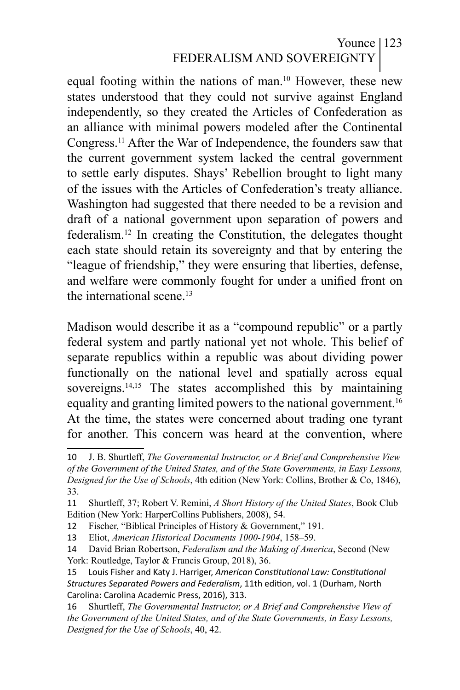### Younce | 123 FEDERALISM AND SOVEREIGNTY

equal footing within the nations of man.10 However, these new states understood that they could not survive against England independently, so they created the Articles of Confederation as an alliance with minimal powers modeled after the Continental Congress.11 After the War of Independence, the founders saw that the current government system lacked the central government to settle early disputes. Shays' Rebellion brought to light many of the issues with the Articles of Confederation's treaty alliance. Washington had suggested that there needed to be a revision and draft of a national government upon separation of powers and federalism.12 In creating the Constitution, the delegates thought each state should retain its sovereignty and that by entering the "league of friendship," they were ensuring that liberties, defense, and welfare were commonly fought for under a unified front on the international scene.<sup>13</sup>

Madison would describe it as a "compound republic" or a partly federal system and partly national yet not whole. This belief of separate republics within a republic was about dividing power functionally on the national level and spatially across equal sovereigns.<sup>14,15</sup> The states accomplished this by maintaining equality and granting limited powers to the national government.16 At the time, the states were concerned about trading one tyrant for another. This concern was heard at the convention, where

<sup>10</sup> J. B. Shurtleff, *The Governmental Instructor, or A Brief and Comprehensive View of the Government of the United States, and of the State Governments, in Easy Lessons, Designed for the Use of Schools*, 4th edition (New York: Collins, Brother & Co, 1846), 33.

<sup>11</sup> Shurtleff, 37; Robert V. Remini, *A Short History of the United States*, Book Club Edition (New York: HarperCollins Publishers, 2008), 54.

<sup>12</sup> Fischer, "Biblical Principles of History & Government," 191.

<sup>13</sup> Eliot, *American Historical Documents 1000-1904*, 158–59.

<sup>14</sup> David Brian Robertson, *Federalism and the Making of America*, Second (New York: Routledge, Taylor & Francis Group, 2018), 36.

<sup>15</sup> Louis Fisher and Katy J. Harriger, *American Constitutional Law: Constitutional Structures Separated Powers and Federalism*, 11th edition, vol. 1 (Durham, North Carolina: Carolina Academic Press, 2016), 313.

<sup>16</sup> Shurtleff, *The Governmental Instructor, or A Brief and Comprehensive View of the Government of the United States, and of the State Governments, in Easy Lessons, Designed for the Use of Schools*, 40, 42.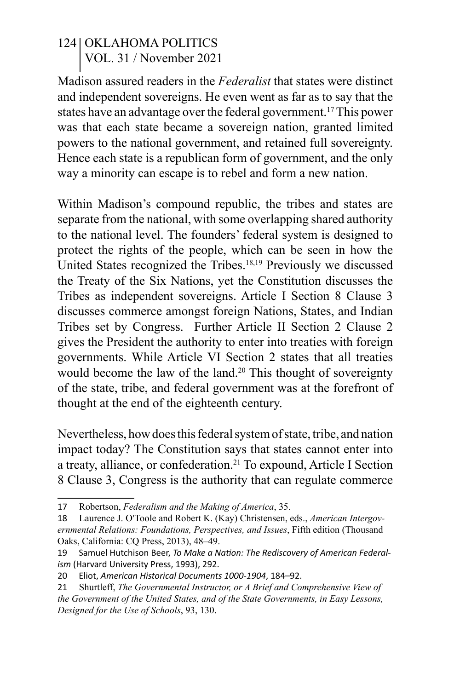Madison assured readers in the *Federalist* that states were distinct and independent sovereigns. He even went as far as to say that the states have an advantage over the federal government.17 This power was that each state became a sovereign nation, granted limited powers to the national government, and retained full sovereignty. Hence each state is a republican form of government, and the only way a minority can escape is to rebel and form a new nation.

Within Madison's compound republic, the tribes and states are separate from the national, with some overlapping shared authority to the national level. The founders' federal system is designed to protect the rights of the people, which can be seen in how the United States recognized the Tribes.<sup>18,19</sup> Previously we discussed the Treaty of the Six Nations, yet the Constitution discusses the Tribes as independent sovereigns. Article I Section 8 Clause 3 discusses commerce amongst foreign Nations, States, and Indian Tribes set by Congress. Further Article II Section 2 Clause 2 gives the President the authority to enter into treaties with foreign governments. While Article VI Section 2 states that all treaties would become the law of the land.<sup>20</sup> This thought of sovereignty of the state, tribe, and federal government was at the forefront of thought at the end of the eighteenth century.

Nevertheless, how does this federal system of state, tribe, and nation impact today? The Constitution says that states cannot enter into a treaty, alliance, or confederation.21 To expound, Article I Section 8 Clause 3, Congress is the authority that can regulate commerce

<sup>17</sup> Robertson, *Federalism and the Making of America*, 35.

<sup>18</sup> Laurence J. O′Toole and Robert K. (Kay) Christensen, eds., *American Intergovernmental Relations: Foundations, Perspectives, and Issues*, Fifth edition (Thousand Oaks, California: CQ Press, 2013), 48–49.

<sup>19</sup> Samuel Hutchison Beer, *To Make a Nation: The Rediscovery of American Federalism* (Harvard University Press, 1993), 292.

<sup>20</sup> Eliot, *American Historical Documents 1000-1904*, 184–92.

<sup>21</sup> Shurtleff, *The Governmental Instructor, or A Brief and Comprehensive View of* 

*the Government of the United States, and of the State Governments, in Easy Lessons, Designed for the Use of Schools*, 93, 130.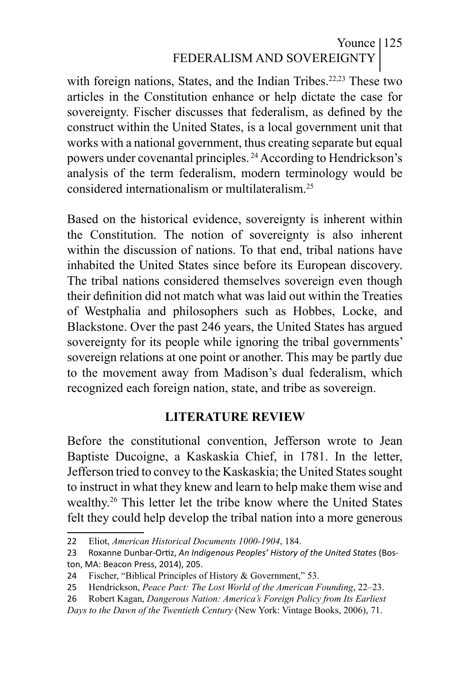## Younce | 125 FEDERALISM AND SOVEREIGNTY

with foreign nations, States, and the Indian Tribes.<sup>22,23</sup> These two articles in the Constitution enhance or help dictate the case for sovereignty. Fischer discusses that federalism, as defined by the construct within the United States, is a local government unit that works with a national government, thus creating separate but equal powers under covenantal principles. 24 According to Hendrickson's analysis of the term federalism, modern terminology would be considered internationalism or multilateralism.25

Based on the historical evidence, sovereignty is inherent within the Constitution. The notion of sovereignty is also inherent within the discussion of nations. To that end, tribal nations have inhabited the United States since before its European discovery. The tribal nations considered themselves sovereign even though their definition did not match what was laid out within the Treaties of Westphalia and philosophers such as Hobbes, Locke, and Blackstone. Over the past 246 years, the United States has argued sovereignty for its people while ignoring the tribal governments' sovereign relations at one point or another. This may be partly due to the movement away from Madison's dual federalism, which recognized each foreign nation, state, and tribe as sovereign.

#### **LITERATURE REVIEW**

Before the constitutional convention, Jefferson wrote to Jean Baptiste Ducoigne, a Kaskaskia Chief, in 1781. In the letter, Jefferson tried to convey to the Kaskaskia; the United States sought to instruct in what they knew and learn to help make them wise and wealthy.26 This letter let the tribe know where the United States felt they could help develop the tribal nation into a more generous

<sup>22</sup> Eliot, *American Historical Documents 1000-1904*, 184.

<sup>23</sup> Roxanne Dunbar-Ortiz, *An Indigenous Peoples' History of the United States* (Boston, MA: Beacon Press, 2014), 205.

<sup>24</sup> Fischer, "Biblical Principles of History & Government," 53.

<sup>25</sup> Hendrickson, *Peace Pact: The Lost World of the American Founding*, 22–23.

<sup>26</sup> Robert Kagan, *Dangerous Nation: America's Foreign Policy from Its Earliest* 

*Days to the Dawn of the Twentieth Century* (New York: Vintage Books, 2006), 71.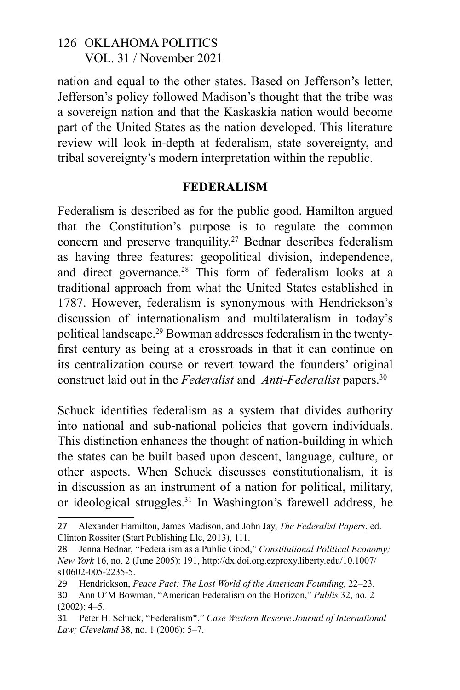nation and equal to the other states. Based on Jefferson's letter, Jefferson's policy followed Madison's thought that the tribe was a sovereign nation and that the Kaskaskia nation would become part of the United States as the nation developed. This literature review will look in-depth at federalism, state sovereignty, and tribal sovereignty's modern interpretation within the republic.

#### **FEDERALISM**

Federalism is described as for the public good. Hamilton argued that the Constitution's purpose is to regulate the common concern and preserve tranquility.27 Bednar describes federalism as having three features: geopolitical division, independence, and direct governance.28 This form of federalism looks at a traditional approach from what the United States established in 1787. However, federalism is synonymous with Hendrickson's discussion of internationalism and multilateralism in today's political landscape.29 Bowman addresses federalism in the twentyfirst century as being at a crossroads in that it can continue on its centralization course or revert toward the founders' original construct laid out in the *Federalist* and *Anti-Federalist* papers.30

Schuck identifies federalism as a system that divides authority into national and sub-national policies that govern individuals. This distinction enhances the thought of nation-building in which the states can be built based upon descent, language, culture, or other aspects. When Schuck discusses constitutionalism, it is in discussion as an instrument of a nation for political, military, or ideological struggles.31 In Washington's farewell address, he

<sup>27</sup> Alexander Hamilton, James Madison, and John Jay, *The Federalist Papers*, ed. Clinton Rossiter (Start Publishing Llc, 2013), 111.

<sup>28</sup> Jenna Bednar, "Federalism as a Public Good," *Constitutional Political Economy; New York* 16, no. 2 (June 2005): 191, http://dx.doi.org.ezproxy.liberty.edu/10.1007/ s10602-005-2235-5.

<sup>29</sup> Hendrickson, *Peace Pact: The Lost World of the American Founding*, 22–23. 30 Ann O'M Bowman, "American Federalism on the Horizon," *Publis* 32, no. 2  $(2002): 4-5.$ 

<sup>31</sup> Peter H. Schuck, "Federalism\*," *Case Western Reserve Journal of International Law; Cleveland* 38, no. 1 (2006): 5–7.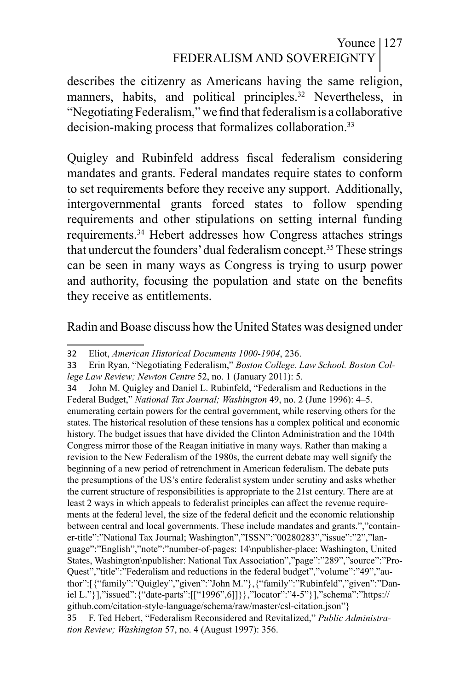## Younce | 127 FEDERALISM AND SOVEREIGNTY

describes the citizenry as Americans having the same religion, manners, habits, and political principles.<sup>32</sup> Nevertheless, in "Negotiating Federalism," we find that federalism is a collaborative decision-making process that formalizes collaboration.<sup>33</sup>

Quigley and Rubinfeld address fiscal federalism considering mandates and grants. Federal mandates require states to conform to set requirements before they receive any support. Additionally, intergovernmental grants forced states to follow spending requirements and other stipulations on setting internal funding requirements.34 Hebert addresses how Congress attaches strings that undercut the founders' dual federalism concept.35 These strings can be seen in many ways as Congress is trying to usurp power and authority, focusing the population and state on the benefits they receive as entitlements.

#### Radin and Boase discuss how the United States was designed under

<sup>32</sup> Eliot, *American Historical Documents 1000-1904*, 236.

<sup>33</sup> Erin Ryan, "Negotiating Federalism," *Boston College. Law School. Boston College Law Review; Newton Centre* 52, no. 1 (January 2011): 5.

<sup>34</sup> John M. Quigley and Daniel L. Rubinfeld, "Federalism and Reductions in the Federal Budget," *National Tax Journal; Washington* 49, no. 2 (June 1996): 4–5. enumerating certain powers for the central government, while reserving others for the states. The historical resolution of these tensions has a complex political and economic history. The budget issues that have divided the Clinton Administration and the 104th Congress mirror those of the Reagan initiative in many ways. Rather than making a revision to the New Federalism of the 1980s, the current debate may well signify the beginning of a new period of retrenchment in American federalism. The debate puts the presumptions of the US's entire federalist system under scrutiny and asks whether the current structure of responsibilities is appropriate to the 21st century. There are at least 2 ways in which appeals to federalist principles can affect the revenue requirements at the federal level, the size of the federal deficit and the economic relationship between central and local governments. These include mandates and grants.","container-title":"National Tax Journal; Washington","ISSN":"00280283","issue":"2","language":"English","note":"number-of-pages: 14\npublisher-place: Washington, United States, Washington\npublisher: National Tax Association","page":"289","source":"Pro-Quest","title":"Federalism and reductions in the federal budget","volume":"49","author":[{"family":"Quigley","given":"John M."},{"family":"Rubinfeld","given":"Daniel L."}],"issued":{"date-parts":[["1996",6]]}},"locator":"4-5"}],"schema":"https:// github.com/citation-style-language/schema/raw/master/csl-citation.json"} 35 F. Ted Hebert, "Federalism Reconsidered and Revitalized," *Public Administration Review; Washington* 57, no. 4 (August 1997): 356.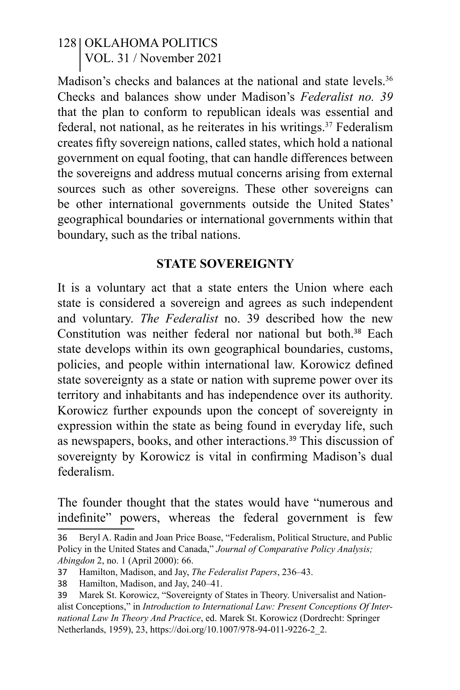Madison's checks and balances at the national and state levels.<sup>36</sup> Checks and balances show under Madison's *Federalist no. 39* that the plan to conform to republican ideals was essential and federal, not national, as he reiterates in his writings.<sup>37</sup> Federalism creates fifty sovereign nations, called states, which hold a national government on equal footing, that can handle differences between the sovereigns and address mutual concerns arising from external sources such as other sovereigns. These other sovereigns can be other international governments outside the United States' geographical boundaries or international governments within that boundary, such as the tribal nations.

#### **STATE SOVEREIGNTY**

It is a voluntary act that a state enters the Union where each state is considered a sovereign and agrees as such independent and voluntary. *The Federalist* no. 39 described how the new Constitution was neither federal nor national but both.<sup>38</sup> Each state develops within its own geographical boundaries, customs, policies, and people within international law. Korowicz defined state sovereignty as a state or nation with supreme power over its territory and inhabitants and has independence over its authority. Korowicz further expounds upon the concept of sovereignty in expression within the state as being found in everyday life, such as newspapers, books, and other interactions.<sup>39</sup> This discussion of sovereignty by Korowicz is vital in confirming Madison's dual federalism.

The founder thought that the states would have "numerous and indefinite" powers, whereas the federal government is few

<sup>36</sup> Beryl A. Radin and Joan Price Boase, "Federalism, Political Structure, and Public Policy in the United States and Canada," *Journal of Comparative Policy Analysis; Abingdon* 2, no. 1 (April 2000): 66.

<sup>37</sup> Hamilton, Madison, and Jay, *The Federalist Papers*, 236–43.

<sup>38</sup> Hamilton, Madison, and Jay, 240–41.

<sup>39</sup> Marek St. Korowicz, "Sovereignty of States in Theory. Universalist and Nationalist Conceptions," in *Introduction to International Law: Present Conceptions Of International Law In Theory And Practice*, ed. Marek St. Korowicz (Dordrecht: Springer Netherlands, 1959), 23, https://doi.org/10.1007/978-94-011-9226-2\_2.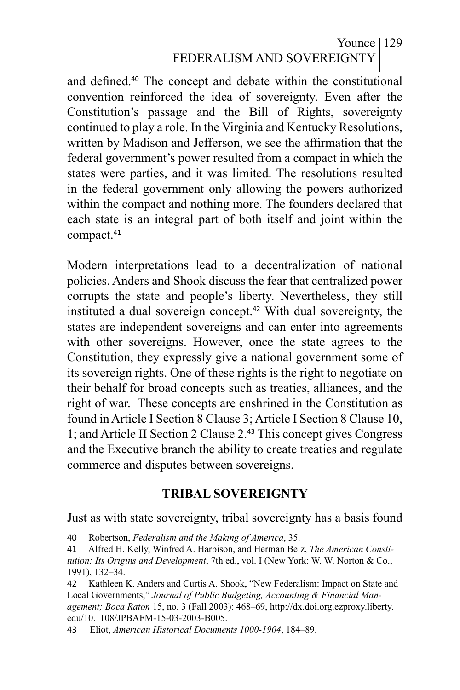### Younce 129 FEDERALISM AND SOVEREIGNTY

and defined.<sup>40</sup> The concept and debate within the constitutional convention reinforced the idea of sovereignty. Even after the Constitution's passage and the Bill of Rights, sovereignty continued to play a role. In the Virginia and Kentucky Resolutions, written by Madison and Jefferson, we see the affirmation that the federal government's power resulted from a compact in which the states were parties, and it was limited. The resolutions resulted in the federal government only allowing the powers authorized within the compact and nothing more. The founders declared that each state is an integral part of both itself and joint within the compact.<sup>41</sup>

Modern interpretations lead to a decentralization of national policies. Anders and Shook discuss the fear that centralized power corrupts the state and people's liberty. Nevertheless, they still instituted a dual sovereign concept.<sup>42</sup> With dual sovereignty, the states are independent sovereigns and can enter into agreements with other sovereigns. However, once the state agrees to the Constitution, they expressly give a national government some of its sovereign rights. One of these rights is the right to negotiate on their behalf for broad concepts such as treaties, alliances, and the right of war. These concepts are enshrined in the Constitution as found in Article I Section 8 Clause 3; Article I Section 8 Clause 10, 1; and Article II Section 2 Clause 2.<sup>43</sup> This concept gives Congress and the Executive branch the ability to create treaties and regulate commerce and disputes between sovereigns.

#### **TRIBAL SOVEREIGNTY**

Just as with state sovereignty, tribal sovereignty has a basis found

<sup>40</sup> Robertson, *Federalism and the Making of America*, 35.

<sup>41</sup> Alfred H. Kelly, Winfred A. Harbison, and Herman Belz, *The American Constitution: Its Origins and Development*, 7th ed., vol. I (New York: W. W. Norton & Co., 1991), 132–34.

<sup>42</sup> Kathleen K. Anders and Curtis A. Shook, "New Federalism: Impact on State and Local Governments," *Journal of Public Budgeting, Accounting & Financial Management; Boca Raton* 15, no. 3 (Fall 2003): 468–69, http://dx.doi.org.ezproxy.liberty. edu/10.1108/JPBAFM-15-03-2003-B005.

<sup>43</sup> Eliot, *American Historical Documents 1000-1904*, 184–89.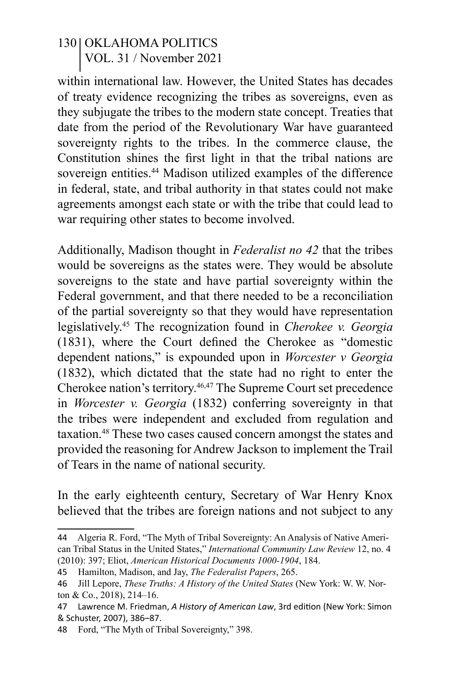within international law. However, the United States has decades of treaty evidence recognizing the tribes as sovereigns, even as they subjugate the tribes to the modern state concept. Treaties that date from the period of the Revolutionary War have guaranteed sovereignty rights to the tribes. In the commerce clause, the Constitution shines the first light in that the tribal nations are sovereign entities.<sup>44</sup> Madison utilized examples of the difference in federal, state, and tribal authority in that states could not make agreements amongst each state or with the tribe that could lead to war requiring other states to become involved.

Additionally, Madison thought in *Federalist no 42* that the tribes would be sovereigns as the states were. They would be absolute sovereigns to the state and have partial sovereignty within the Federal government, and that there needed to be a reconciliation of the partial sovereignty so that they would have representation legislatively.45 The recognization found in *Cherokee v. Georgia* (1831), where the Court defined the Cherokee as "domestic dependent nations," is expounded upon in *Worcester v Georgia* (1832), which dictated that the state had no right to enter the Cherokee nation's territory.46,47 The Supreme Court set precedence in *Worcester v. Georgia* (1832) conferring sovereignty in that the tribes were independent and excluded from regulation and taxation.48 These two cases caused concern amongst the states and provided the reasoning for Andrew Jackson to implement the Trail of Tears in the name of national security.

In the early eighteenth century, Secretary of War Henry Knox believed that the tribes are foreign nations and not subject to any

<sup>44</sup> Algeria R. Ford, "The Myth of Tribal Sovereignty: An Analysis of Native American Tribal Status in the United States," *International Community Law Review* 12, no. 4 (2010): 397; Eliot, *American Historical Documents 1000-1904*, 184.

<sup>45</sup> Hamilton, Madison, and Jay, *The Federalist Papers*, 265.

<sup>46</sup> Jill Lepore, *These Truths: A History of the United States* (New York: W. W. Norton & Co., 2018), 214–16.

<sup>47</sup> Lawrence M. Friedman, *A History of American Law*, 3rd edition (New York: Simon & Schuster, 2007), 386–87.

<sup>48</sup> Ford, "The Myth of Tribal Sovereignty," 398.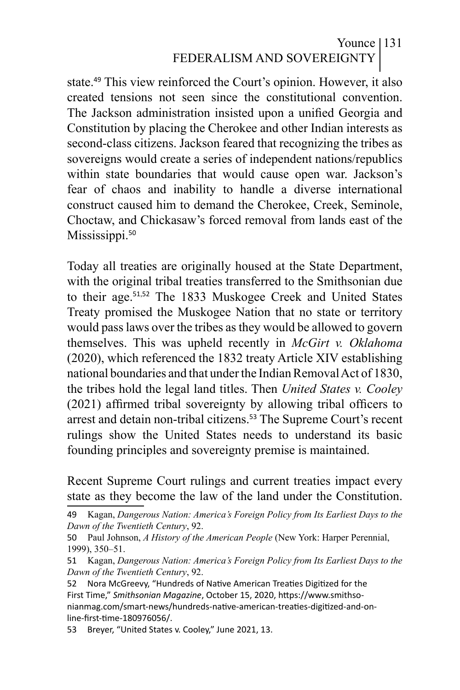## Younce 131 FEDERALISM AND SOVEREIGNTY

state.<sup>49</sup> This view reinforced the Court's opinion. However, it also created tensions not seen since the constitutional convention. The Jackson administration insisted upon a unified Georgia and Constitution by placing the Cherokee and other Indian interests as second-class citizens. Jackson feared that recognizing the tribes as sovereigns would create a series of independent nations/republics within state boundaries that would cause open war. Jackson's fear of chaos and inability to handle a diverse international construct caused him to demand the Cherokee, Creek, Seminole, Choctaw, and Chickasaw's forced removal from lands east of the Mississippi.<sup>50</sup>

Today all treaties are originally housed at the State Department, with the original tribal treaties transferred to the Smithsonian due to their age.<sup>51</sup>,<sup>52</sup> The 1833 Muskogee Creek and United States Treaty promised the Muskogee Nation that no state or territory would pass laws over the tribes as they would be allowed to govern themselves. This was upheld recently in *McGirt v. Oklahoma* (2020), which referenced the 1832 treaty Article XIV establishing national boundaries and that under the Indian Removal Act of 1830, the tribes hold the legal land titles. Then *United States v. Cooley*  (2021) affirmed tribal sovereignty by allowing tribal officers to arrest and detain non-tribal citizens.<sup>53</sup> The Supreme Court's recent rulings show the United States needs to understand its basic founding principles and sovereignty premise is maintained.

Recent Supreme Court rulings and current treaties impact every state as they become the law of the land under the Constitution.

<sup>49</sup> Kagan, *Dangerous Nation: America's Foreign Policy from Its Earliest Days to the Dawn of the Twentieth Century*, 92.

<sup>50</sup> Paul Johnson, *A History of the American People* (New York: Harper Perennial, 1999), 350–51.

<sup>51</sup> Kagan, *Dangerous Nation: America's Foreign Policy from Its Earliest Days to the Dawn of the Twentieth Century*, 92.

<sup>52</sup> Nora McGreevy, "Hundreds of Native American Treaties Digitized for the First Time," *Smithsonian Magazine*, October 15, 2020, https://www.smithsonianmag.com/smart-news/hundreds-native-american-treaties-digitized-and-online-first-time-180976056/.

<sup>53</sup> Breyer, "United States v. Cooley," June 2021, 13.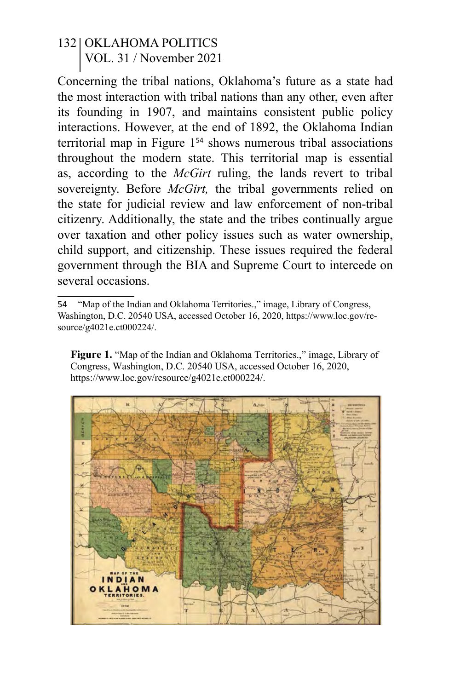Concerning the tribal nations, Oklahoma's future as a state had the most interaction with tribal nations than any other, even after its founding in 1907, and maintains consistent public policy interactions. However, at the end of 1892, the Oklahoma Indian territorial map in Figure 1<sup>54</sup> shows numerous tribal associations throughout the modern state. This territorial map is essential as, according to the *McGirt* ruling, the lands revert to tribal sovereignty. Before *McGirt,* the tribal governments relied on the state for judicial review and law enforcement of non-tribal citizenry. Additionally, the state and the tribes continually argue over taxation and other policy issues such as water ownership, child support, and citizenship. These issues required the federal government through the BIA and Supreme Court to intercede on several occasions.

**Figure 1.** "Map of the Indian and Oklahoma Territories.," image, Library of Congress, Washington, D.C. 20540 USA, accessed October 16, 2020, https://www.loc.gov/resource/g4021e.ct000224/.



<sup>54</sup> "Map of the Indian and Oklahoma Territories.," image, Library of Congress, Washington, D.C. 20540 USA, accessed October 16, 2020, https://www.loc.gov/resource/g4021e.ct000224/.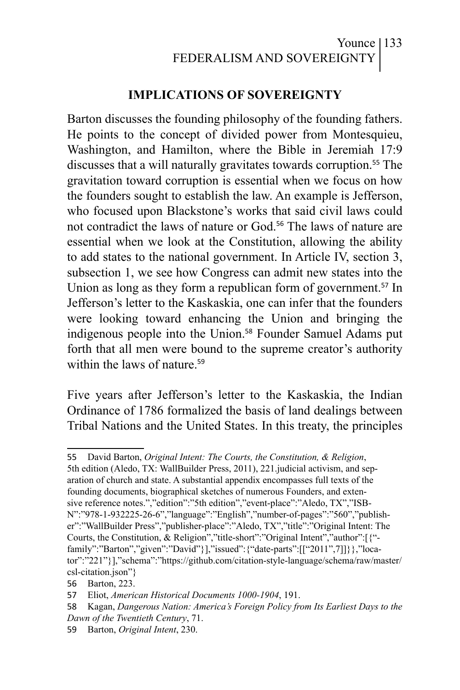### Younce | 133 FEDERALISM AND SOVEREIGNTY

#### **IMPLICATIONS OF SOVEREIGNTY**

Barton discusses the founding philosophy of the founding fathers. He points to the concept of divided power from Montesquieu, Washington, and Hamilton, where the Bible in Jeremiah 17:9 discusses that a will naturally gravitates towards corruption.<sup>55</sup> The gravitation toward corruption is essential when we focus on how the founders sought to establish the law. An example is Jefferson, who focused upon Blackstone's works that said civil laws could not contradict the laws of nature or God.<sup>56</sup> The laws of nature are essential when we look at the Constitution, allowing the ability to add states to the national government. In Article IV, section 3, subsection 1, we see how Congress can admit new states into the Union as long as they form a republican form of government.<sup>57</sup> In Jefferson's letter to the Kaskaskia, one can infer that the founders were looking toward enhancing the Union and bringing the indigenous people into the Union.<sup>58</sup> Founder Samuel Adams put forth that all men were bound to the supreme creator's authority within the laws of nature  $59$ 

Five years after Jefferson's letter to the Kaskaskia, the Indian Ordinance of 1786 formalized the basis of land dealings between Tribal Nations and the United States. In this treaty, the principles

55 David Barton, *Original Intent: The Courts, the Constitution, & Religion*, 5th edition (Aledo, TX: WallBuilder Press, 2011), 221.judicial activism, and separation of church and state. A substantial appendix encompasses full texts of the founding documents, biographical sketches of numerous Founders, and extensive reference notes.","edition":"5th edition","event-place":"Aledo, TX","ISB-N":"978-1-932225-26-6","language":"English","number-of-pages":"560","publisher":"WallBuilder Press","publisher-place":"Aledo, TX","title":"Original Intent: The Courts, the Constitution, & Religion","title-short":"Original Intent","author":[{" family":"Barton","given":"David"}],"issued":{"date-parts":[["2011",7]]}},"locator":"221"}],"schema":"https://github.com/citation-style-language/schema/raw/master/ csl-citation.json"}

<sup>56</sup> Barton, 223.

<sup>57</sup> Eliot, *American Historical Documents 1000-1904*, 191.

<sup>58</sup> Kagan, *Dangerous Nation: America's Foreign Policy from Its Earliest Days to the Dawn of the Twentieth Century*, 71.

<sup>59</sup> Barton, *Original Intent*, 230.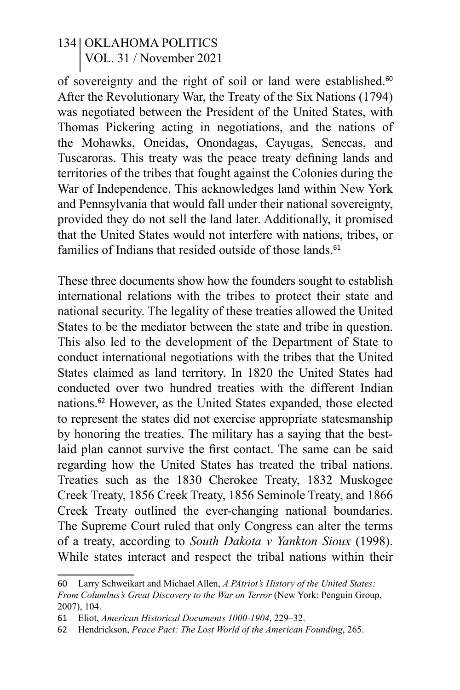of sovereignty and the right of soil or land were established.<sup>60</sup> After the Revolutionary War, the Treaty of the Six Nations (1794) was negotiated between the President of the United States, with Thomas Pickering acting in negotiations, and the nations of the Mohawks, Oneidas, Onondagas, Cayugas, Senecas, and Tuscaroras. This treaty was the peace treaty defining lands and territories of the tribes that fought against the Colonies during the War of Independence. This acknowledges land within New York and Pennsylvania that would fall under their national sovereignty, provided they do not sell the land later. Additionally, it promised that the United States would not interfere with nations, tribes, or families of Indians that resided outside of those lands.<sup>61</sup>

These three documents show how the founders sought to establish international relations with the tribes to protect their state and national security. The legality of these treaties allowed the United States to be the mediator between the state and tribe in question. This also led to the development of the Department of State to conduct international negotiations with the tribes that the United States claimed as land territory. In 1820 the United States had conducted over two hundred treaties with the different Indian nations.<sup>62</sup> However, as the United States expanded, those elected to represent the states did not exercise appropriate statesmanship by honoring the treaties. The military has a saying that the bestlaid plan cannot survive the first contact. The same can be said regarding how the United States has treated the tribal nations. Treaties such as the 1830 Cherokee Treaty, 1832 Muskogee Creek Treaty, 1856 Creek Treaty, 1856 Seminole Treaty, and 1866 Creek Treaty outlined the ever-changing national boundaries. The Supreme Court ruled that only Congress can alter the terms of a treaty, according to *South Dakota v Yankton Sioux* (1998). While states interact and respect the tribal nations within their

<sup>60</sup> Larry Schweikart and Michael Allen, *A PAtriot's History of the United States: From Columbus's Great Discovery to the War on Terror* (New York: Penguin Group, 2007), 104.

<sup>61</sup> Eliot, *American Historical Documents 1000-1904*, 229–32.

<sup>62</sup> Hendrickson, *Peace Pact: The Lost World of the American Founding*, 265.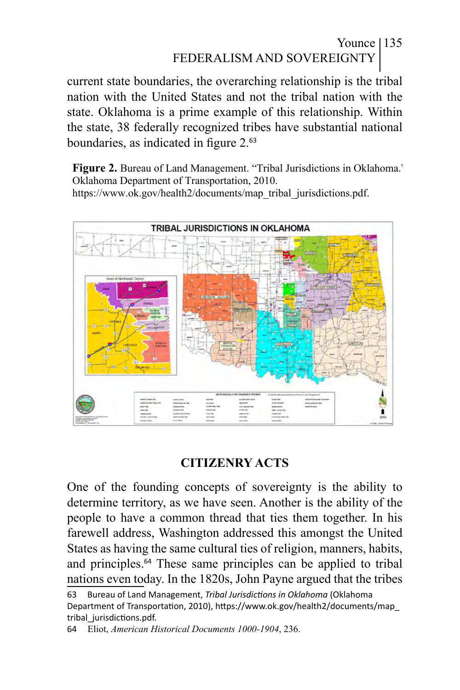## Younce | 135 FEDERALISM AND SOVEREIGNTY

current state boundaries, the overarching relationship is the tribal nation with the United States and not the tribal nation with the state. Oklahoma is a prime example of this relationship. Within the state, 38 federally recognized tribes have substantial national boundaries, as indicated in figure 2.<sup>63</sup>

**Figure 2.** Bureau of Land Management. "Tribal Jurisdictions in Oklahoma." Oklahoma Department of Transportation, 2010. https://www.ok.gov/health2/documents/map\_tribal\_jurisdictions.pdf.



# **CITIZENRY ACTS**

One of the founding concepts of sovereignty is the ability to determine territory, as we have seen. Another is the ability of the people to have a common thread that ties them together. In his farewell address, Washington addressed this amongst the United States as having the same cultural ties of religion, manners, habits, and principles.<sup>64</sup> These same principles can be applied to tribal nations even today. In the 1820s, John Payne argued that the tribes

<sup>63</sup> Bureau of Land Management, *Tribal Jurisdictions in Oklahoma* (Oklahoma Department of Transportation, 2010), https://www.ok.gov/health2/documents/map\_ tribal\_jurisdictions.pdf.

<sup>64</sup> Eliot, *American Historical Documents 1000-1904*, 236.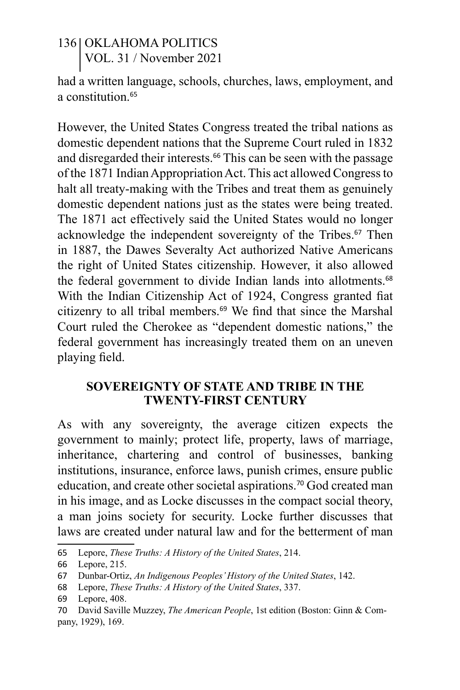had a written language, schools, churches, laws, employment, and a constitution <sup>65</sup>

However, the United States Congress treated the tribal nations as domestic dependent nations that the Supreme Court ruled in 1832 and disregarded their interests.<sup>66</sup> This can be seen with the passage of the 1871 Indian Appropriation Act. This act allowed Congress to halt all treaty-making with the Tribes and treat them as genuinely domestic dependent nations just as the states were being treated. The 1871 act effectively said the United States would no longer acknowledge the independent sovereignty of the Tribes.<sup>67</sup> Then in 1887, the Dawes Severalty Act authorized Native Americans the right of United States citizenship. However, it also allowed the federal government to divide Indian lands into allotments.<sup>68</sup> With the Indian Citizenship Act of 1924, Congress granted fiat citizenry to all tribal members.<sup>69</sup> We find that since the Marshal Court ruled the Cherokee as "dependent domestic nations," the federal government has increasingly treated them on an uneven playing field.

#### **SOVEREIGNTY OF STATE AND TRIBE IN THE TWENTY-FIRST CENTURY**

As with any sovereignty, the average citizen expects the government to mainly; protect life, property, laws of marriage, inheritance, chartering and control of businesses, banking institutions, insurance, enforce laws, punish crimes, ensure public education, and create other societal aspirations.<sup>70</sup> God created man in his image, and as Locke discusses in the compact social theory, a man joins society for security. Locke further discusses that laws are created under natural law and for the betterment of man

<sup>65</sup> Lepore, *These Truths: A History of the United States*, 214.

<sup>66</sup> Lepore, 215.

<sup>67</sup> Dunbar-Ortiz, *An Indigenous Peoples' History of the United States*, 142.

<sup>68</sup> Lepore, *These Truths: A History of the United States*, 337.

<sup>69</sup> Lepore, 408.

<sup>70</sup> David Saville Muzzey, *The American People*, 1st edition (Boston: Ginn & Company, 1929), 169.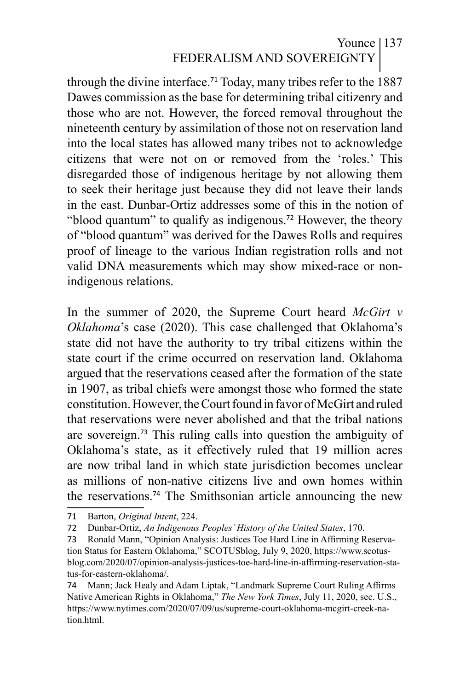# Younce | 137 FEDERALISM AND SOVEREIGNTY

through the divine interface.<sup>71</sup> Today, many tribes refer to the  $1887$ Dawes commission as the base for determining tribal citizenry and those who are not. However, the forced removal throughout the nineteenth century by assimilation of those not on reservation land into the local states has allowed many tribes not to acknowledge citizens that were not on or removed from the 'roles.' This disregarded those of indigenous heritage by not allowing them to seek their heritage just because they did not leave their lands in the east. Dunbar-Ortiz addresses some of this in the notion of "blood quantum" to qualify as indigenous.<sup>72</sup> However, the theory of "blood quantum" was derived for the Dawes Rolls and requires proof of lineage to the various Indian registration rolls and not valid DNA measurements which may show mixed-race or nonindigenous relations.

In the summer of 2020, the Supreme Court heard *McGirt v Oklahoma*'s case (2020). This case challenged that Oklahoma's state did not have the authority to try tribal citizens within the state court if the crime occurred on reservation land. Oklahoma argued that the reservations ceased after the formation of the state in 1907, as tribal chiefs were amongst those who formed the state constitution. However, the Court found in favor of McGirt and ruled that reservations were never abolished and that the tribal nations are sovereign.<sup>73</sup> This ruling calls into question the ambiguity of Oklahoma's state, as it effectively ruled that 19 million acres are now tribal land in which state jurisdiction becomes unclear as millions of non-native citizens live and own homes within the reservations.<sup>74</sup> The Smithsonian article announcing the new

<sup>71</sup> Barton, *Original Intent*, 224.

<sup>72</sup> Dunbar-Ortiz, *An Indigenous Peoples' History of the United States*, 170.

<sup>73</sup> Ronald Mann, "Opinion Analysis: Justices Toe Hard Line in Affirming Reservation Status for Eastern Oklahoma," SCOTUSblog, July 9, 2020, https://www.scotusblog.com/2020/07/opinion-analysis-justices-toe-hard-line-in-affirming-reservation-status-for-eastern-oklahoma/.

<sup>74</sup> Mann; Jack Healy and Adam Liptak, "Landmark Supreme Court Ruling Affirms Native American Rights in Oklahoma," *The New York Times*, July 11, 2020, sec. U.S., https://www.nytimes.com/2020/07/09/us/supreme-court-oklahoma-mcgirt-creek-nation html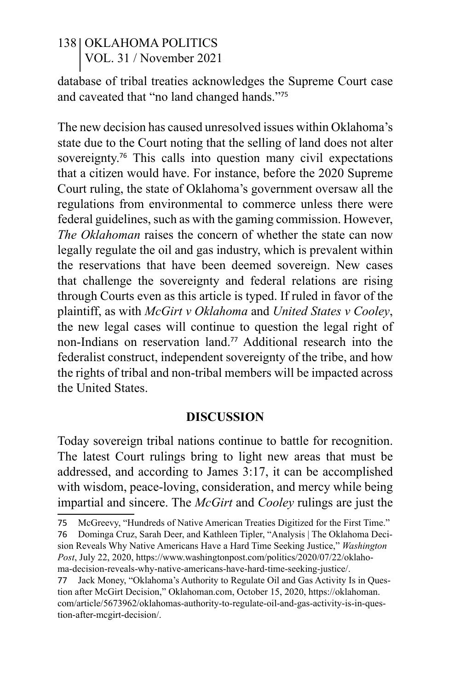database of tribal treaties acknowledges the Supreme Court case and caveated that "no land changed hands."<sup>75</sup>

The new decision has caused unresolved issues within Oklahoma's state due to the Court noting that the selling of land does not alter sovereignty.<sup>76</sup> This calls into question many civil expectations that a citizen would have. For instance, before the 2020 Supreme Court ruling, the state of Oklahoma's government oversaw all the regulations from environmental to commerce unless there were federal guidelines, such as with the gaming commission. However, *The Oklahoman* raises the concern of whether the state can now legally regulate the oil and gas industry, which is prevalent within the reservations that have been deemed sovereign. New cases that challenge the sovereignty and federal relations are rising through Courts even as this article is typed. If ruled in favor of the plaintiff, as with *McGirt v Oklahoma* and *United States v Cooley*, the new legal cases will continue to question the legal right of non-Indians on reservation land.<sup>77</sup> Additional research into the federalist construct, independent sovereignty of the tribe, and how the rights of tribal and non-tribal members will be impacted across the United States.

#### **DISCUSSION**

Today sovereign tribal nations continue to battle for recognition. The latest Court rulings bring to light new areas that must be addressed, and according to James 3:17, it can be accomplished with wisdom, peace-loving, consideration, and mercy while being impartial and sincere. The *McGirt* and *Cooley* rulings are just the

<sup>75</sup> McGreevy, "Hundreds of Native American Treaties Digitized for the First Time."

<sup>76</sup> Dominga Cruz, Sarah Deer, and Kathleen Tipler, "Analysis | The Oklahoma Decision Reveals Why Native Americans Have a Hard Time Seeking Justice," *Washington Post*, July 22, 2020, https://www.washingtonpost.com/politics/2020/07/22/oklahoma-decision-reveals-why-native-americans-have-hard-time-seeking-justice/.

<sup>77</sup> Jack Money, "Oklahoma's Authority to Regulate Oil and Gas Activity Is in Question after McGirt Decision," Oklahoman.com, October 15, 2020, https://oklahoman. com/article/5673962/oklahomas-authority-to-regulate-oil-and-gas-activity-is-in-question-after-mcgirt-decision/.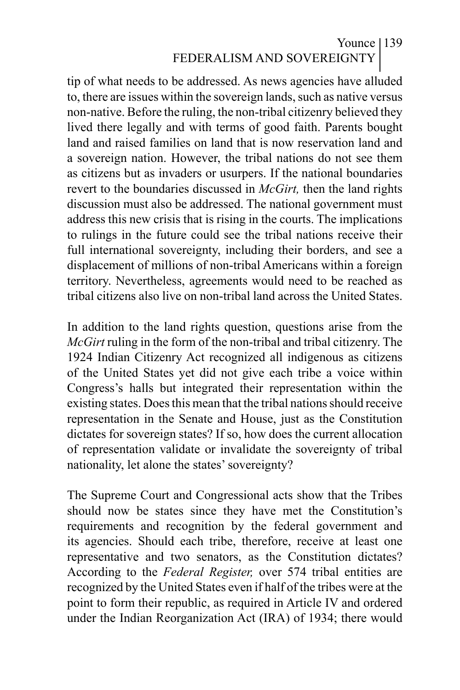## Younce 139 FEDERALISM AND SOVEREIGNTY

tip of what needs to be addressed. As news agencies have alluded to, there are issues within the sovereign lands, such as native versus non-native. Before the ruling, the non-tribal citizenry believed they lived there legally and with terms of good faith. Parents bought land and raised families on land that is now reservation land and a sovereign nation. However, the tribal nations do not see them as citizens but as invaders or usurpers. If the national boundaries revert to the boundaries discussed in *McGirt,* then the land rights discussion must also be addressed. The national government must address this new crisis that is rising in the courts. The implications to rulings in the future could see the tribal nations receive their full international sovereignty, including their borders, and see a displacement of millions of non-tribal Americans within a foreign territory. Nevertheless, agreements would need to be reached as tribal citizens also live on non-tribal land across the United States.

In addition to the land rights question, questions arise from the *McGirt* ruling in the form of the non-tribal and tribal citizenry. The 1924 Indian Citizenry Act recognized all indigenous as citizens of the United States yet did not give each tribe a voice within Congress's halls but integrated their representation within the existing states. Does this mean that the tribal nations should receive representation in the Senate and House, just as the Constitution dictates for sovereign states? If so, how does the current allocation of representation validate or invalidate the sovereignty of tribal nationality, let alone the states' sovereignty?

The Supreme Court and Congressional acts show that the Tribes should now be states since they have met the Constitution's requirements and recognition by the federal government and its agencies. Should each tribe, therefore, receive at least one representative and two senators, as the Constitution dictates? According to the *Federal Register,* over 574 tribal entities are recognized by the United States even if half of the tribes were at the point to form their republic, as required in Article IV and ordered under the Indian Reorganization Act (IRA) of 1934; there would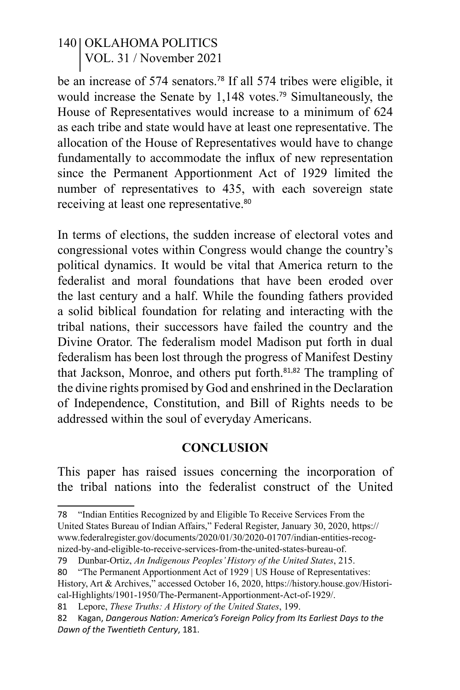be an increase of 574 senators.<sup>78</sup> If all 574 tribes were eligible, it would increase the Senate by 1,148 votes.<sup>79</sup> Simultaneously, the House of Representatives would increase to a minimum of 624 as each tribe and state would have at least one representative. The allocation of the House of Representatives would have to change fundamentally to accommodate the influx of new representation since the Permanent Apportionment Act of 1929 limited the number of representatives to 435, with each sovereign state receiving at least one representative.<sup>80</sup>

In terms of elections, the sudden increase of electoral votes and congressional votes within Congress would change the country's political dynamics. It would be vital that America return to the federalist and moral foundations that have been eroded over the last century and a half. While the founding fathers provided a solid biblical foundation for relating and interacting with the tribal nations, their successors have failed the country and the Divine Orator. The federalism model Madison put forth in dual federalism has been lost through the progress of Manifest Destiny that Jackson, Monroe, and others put forth.<sup>81,82</sup> The trampling of the divine rights promised by God and enshrined in the Declaration of Independence, Constitution, and Bill of Rights needs to be addressed within the soul of everyday Americans.

#### **CONCLUSION**

This paper has raised issues concerning the incorporation of the tribal nations into the federalist construct of the United

<sup>78</sup> "Indian Entities Recognized by and Eligible To Receive Services From the United States Bureau of Indian Affairs," Federal Register, January 30, 2020, https:// www.federalregister.gov/documents/2020/01/30/2020-01707/indian-entities-recognized-by-and-eligible-to-receive-services-from-the-united-states-bureau-of.

<sup>79</sup> Dunbar-Ortiz, *An Indigenous Peoples' History of the United States*, 215.

<sup>80</sup> "The Permanent Apportionment Act of 1929 | US House of Representatives: History, Art & Archives," accessed October 16, 2020, https://history.house.gov/Historical-Highlights/1901-1950/The-Permanent-Apportionment-Act-of-1929/.

<sup>81</sup> Lepore, *These Truths: A History of the United States*, 199.

<sup>82</sup> Kagan, *Dangerous Nation: America's Foreign Policy from Its Earliest Days to the Dawn of the Twentieth Century*, 181.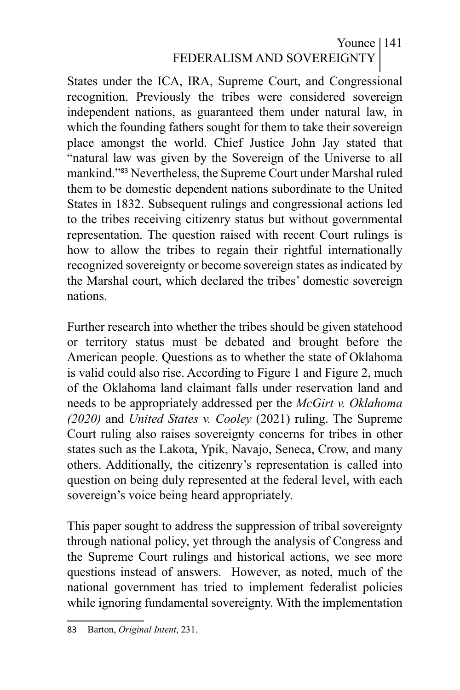# Younce 141 FEDERALISM AND SOVEREIGNTY

States under the ICA, IRA, Supreme Court, and Congressional recognition. Previously the tribes were considered sovereign independent nations, as guaranteed them under natural law, in which the founding fathers sought for them to take their sovereign place amongst the world. Chief Justice John Jay stated that "natural law was given by the Sovereign of the Universe to all mankind."<sup>83</sup> Nevertheless, the Supreme Court under Marshal ruled them to be domestic dependent nations subordinate to the United States in 1832. Subsequent rulings and congressional actions led to the tribes receiving citizenry status but without governmental representation. The question raised with recent Court rulings is how to allow the tribes to regain their rightful internationally recognized sovereignty or become sovereign states as indicated by the Marshal court, which declared the tribes' domestic sovereign nations.

Further research into whether the tribes should be given statehood or territory status must be debated and brought before the American people. Questions as to whether the state of Oklahoma is valid could also rise. According to Figure 1 and Figure 2, much of the Oklahoma land claimant falls under reservation land and needs to be appropriately addressed per the *McGirt v. Oklahoma (2020)* and *United States v. Cooley* (2021) ruling. The Supreme Court ruling also raises sovereignty concerns for tribes in other states such as the Lakota, Ypik, Navajo, Seneca, Crow, and many others. Additionally, the citizenry's representation is called into question on being duly represented at the federal level, with each sovereign's voice being heard appropriately.

This paper sought to address the suppression of tribal sovereignty through national policy, yet through the analysis of Congress and the Supreme Court rulings and historical actions, we see more questions instead of answers. However, as noted, much of the national government has tried to implement federalist policies while ignoring fundamental sovereignty. With the implementation

<sup>83</sup> Barton, *Original Intent*, 231.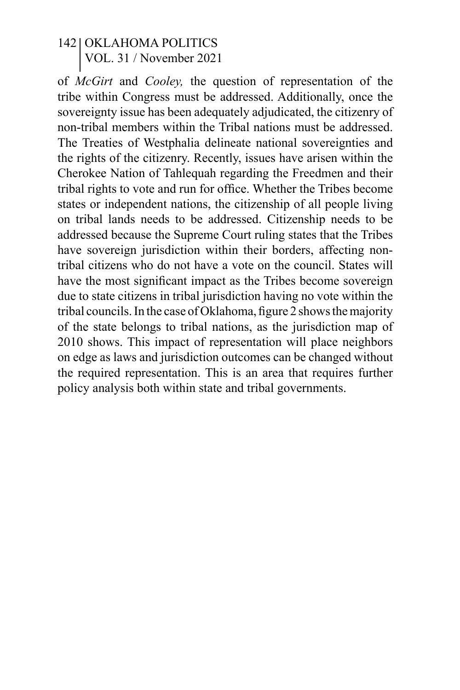of *McGirt* and *Cooley,* the question of representation of the tribe within Congress must be addressed. Additionally, once the sovereignty issue has been adequately adjudicated, the citizenry of non-tribal members within the Tribal nations must be addressed. The Treaties of Westphalia delineate national sovereignties and the rights of the citizenry. Recently, issues have arisen within the Cherokee Nation of Tahlequah regarding the Freedmen and their tribal rights to vote and run for office. Whether the Tribes become states or independent nations, the citizenship of all people living on tribal lands needs to be addressed. Citizenship needs to be addressed because the Supreme Court ruling states that the Tribes have sovereign jurisdiction within their borders, affecting nontribal citizens who do not have a vote on the council. States will have the most significant impact as the Tribes become sovereign due to state citizens in tribal jurisdiction having no vote within the tribal councils. In the case of Oklahoma, figure 2 shows the majority of the state belongs to tribal nations, as the jurisdiction map of 2010 shows. This impact of representation will place neighbors on edge as laws and jurisdiction outcomes can be changed without the required representation. This is an area that requires further policy analysis both within state and tribal governments.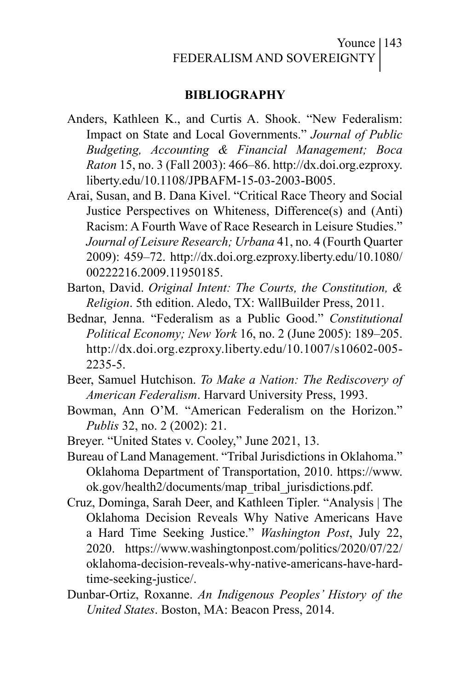#### Younce | 143 FEDERALISM AND SOVEREIGNTY

#### **BIBLIOGRAPHY**

- Anders, Kathleen K., and Curtis A. Shook. "New Federalism: Impact on State and Local Governments." *Journal of Public Budgeting, Accounting & Financial Management; Boca Raton* 15, no. 3 (Fall 2003): 466–86. http://dx.doi.org.ezproxy. liberty.edu/10.1108/JPBAFM-15-03-2003-B005.
- Arai, Susan, and B. Dana Kivel. "Critical Race Theory and Social Justice Perspectives on Whiteness, Difference(s) and (Anti) Racism: A Fourth Wave of Race Research in Leisure Studies." *Journal of Leisure Research; Urbana* 41, no. 4 (Fourth Quarter 2009): 459–72. http://dx.doi.org.ezproxy.liberty.edu/10.1080/ 00222216.2009.11950185.
- Barton, David. *Original Intent: The Courts, the Constitution, & Religion*. 5th edition. Aledo, TX: WallBuilder Press, 2011.
- Bednar, Jenna. "Federalism as a Public Good." *Constitutional Political Economy; New York* 16, no. 2 (June 2005): 189–205. http://dx.doi.org.ezproxy.liberty.edu/10.1007/s10602-005- 2235-5.
- Beer, Samuel Hutchison. *To Make a Nation: The Rediscovery of American Federalism*. Harvard University Press, 1993.
- Bowman, Ann O'M. "American Federalism on the Horizon." *Publis* 32, no. 2 (2002): 21.
- Breyer. "United States v. Cooley," June 2021, 13.
- Bureau of Land Management. "Tribal Jurisdictions in Oklahoma." Oklahoma Department of Transportation, 2010. https://www. ok.gov/health2/documents/map\_tribal\_jurisdictions.pdf.
- Cruz, Dominga, Sarah Deer, and Kathleen Tipler. "Analysis | The Oklahoma Decision Reveals Why Native Americans Have a Hard Time Seeking Justice." *Washington Post*, July 22, 2020. https://www.washingtonpost.com/politics/2020/07/22/ oklahoma-decision-reveals-why-native-americans-have-hardtime-seeking-justice/.
- Dunbar-Ortiz, Roxanne. *An Indigenous Peoples' History of the United States*. Boston, MA: Beacon Press, 2014.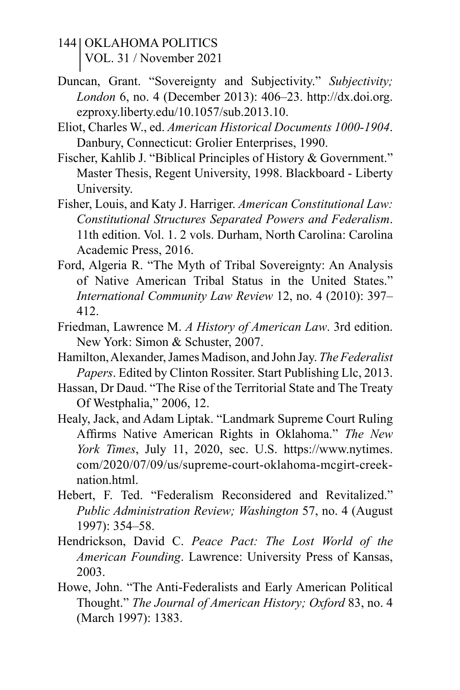- 144 | OKLAHOMA POLITICS VOL. 31 / November 2021
- Duncan, Grant. "Sovereignty and Subjectivity." *Subjectivity; London* 6, no. 4 (December 2013): 406–23. http://dx.doi.org. ezproxy.liberty.edu/10.1057/sub.2013.10.
- Eliot, Charles W., ed. *American Historical Documents 1000-1904*. Danbury, Connecticut: Grolier Enterprises, 1990.
- Fischer, Kahlib J. "Biblical Principles of History & Government." Master Thesis, Regent University, 1998. Blackboard - Liberty University.
- Fisher, Louis, and Katy J. Harriger. *American Constitutional Law: Constitutional Structures Separated Powers and Federalism*. 11th edition. Vol. 1. 2 vols. Durham, North Carolina: Carolina Academic Press, 2016.
- Ford, Algeria R. "The Myth of Tribal Sovereignty: An Analysis of Native American Tribal Status in the United States." *International Community Law Review* 12, no. 4 (2010): 397– 412.
- Friedman, Lawrence M. *A History of American Law*. 3rd edition. New York: Simon & Schuster, 2007.
- Hamilton, Alexander, James Madison, and John Jay. *The Federalist Papers*. Edited by Clinton Rossiter. Start Publishing Llc, 2013.
- Hassan, Dr Daud. "The Rise of the Territorial State and The Treaty Of Westphalia," 2006, 12.
- Healy, Jack, and Adam Liptak. "Landmark Supreme Court Ruling Affirms Native American Rights in Oklahoma." *The New York Times*, July 11, 2020, sec. U.S. https://www.nytimes. com/2020/07/09/us/supreme-court-oklahoma-mcgirt-creeknation.html.
- Hebert, F. Ted. "Federalism Reconsidered and Revitalized." *Public Administration Review; Washington* 57, no. 4 (August 1997): 354–58.
- Hendrickson, David C. *Peace Pact: The Lost World of the American Founding*. Lawrence: University Press of Kansas, 2003.
- Howe, John. "The Anti-Federalists and Early American Political Thought." *The Journal of American History; Oxford* 83, no. 4 (March 1997): 1383.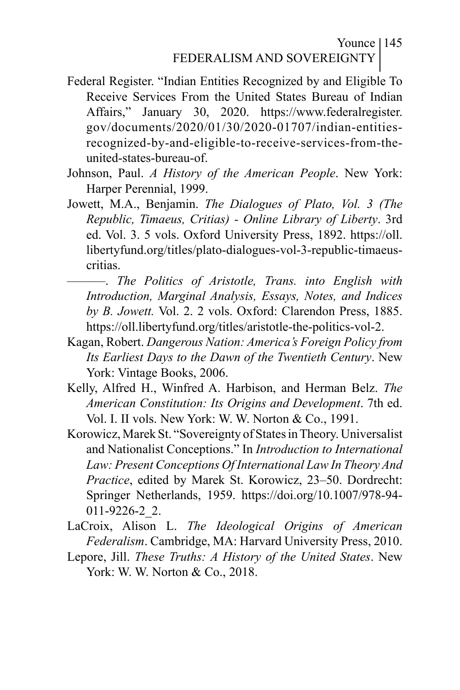Younce | 145 FEDERALISM AND SOVEREIGNTY

- Federal Register. "Indian Entities Recognized by and Eligible To Receive Services From the United States Bureau of Indian Affairs," January 30, 2020. https://www.federalregister. gov/documents/2020/01/30/2020-01707/indian-entitiesrecognized-by-and-eligible-to-receive-services-from-theunited-states-bureau-of.
- Johnson, Paul. *A History of the American People*. New York: Harper Perennial, 1999.
- Jowett, M.A., Benjamin. *The Dialogues of Plato, Vol. 3 (The Republic, Timaeus, Critias) - Online Library of Liberty*. 3rd ed. Vol. 3. 5 vols. Oxford University Press, 1892. https://oll. libertyfund.org/titles/plato-dialogues-vol-3-republic-timaeuscritias.
	- ———. *The Politics of Aristotle, Trans. into English with Introduction, Marginal Analysis, Essays, Notes, and Indices by B. Jowett.* Vol. 2. 2 vols. Oxford: Clarendon Press, 1885. https://oll.libertyfund.org/titles/aristotle-the-politics-vol-2.
- Kagan, Robert. *Dangerous Nation: America's Foreign Policy from Its Earliest Days to the Dawn of the Twentieth Century*. New York: Vintage Books, 2006.
- Kelly, Alfred H., Winfred A. Harbison, and Herman Belz. *The American Constitution: Its Origins and Development*. 7th ed. Vol. I. II vols. New York: W. W. Norton & Co., 1991.
- Korowicz, Marek St. "Sovereignty of States in Theory. Universalist and Nationalist Conceptions." In *Introduction to International Law: Present Conceptions Of International Law In Theory And Practice*, edited by Marek St. Korowicz, 23–50. Dordrecht: Springer Netherlands, 1959. https://doi.org/10.1007/978-94- 011-9226-2\_2.
- LaCroix, Alison L. *The Ideological Origins of American Federalism*. Cambridge, MA: Harvard University Press, 2010.
- Lepore, Jill. *These Truths: A History of the United States*. New York: W. W. Norton & Co., 2018.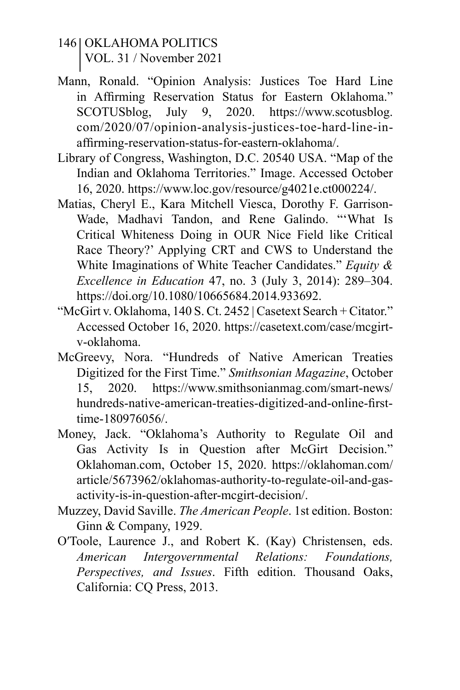- 146 | OKLAHOMA POLITICS VOL. 31 / November 2021
- Mann, Ronald. "Opinion Analysis: Justices Toe Hard Line in Affirming Reservation Status for Eastern Oklahoma." SCOTUSblog, July 9, 2020. https://www.scotusblog. com/2020/07/opinion-analysis-justices-toe-hard-line-inaffirming-reservation-status-for-eastern-oklahoma/.
- Library of Congress, Washington, D.C. 20540 USA. "Map of the Indian and Oklahoma Territories." Image. Accessed October 16, 2020. https://www.loc.gov/resource/g4021e.ct000224/.
- Matias, Cheryl E., Kara Mitchell Viesca, Dorothy F. Garrison-Wade, Madhavi Tandon, and Rene Galindo. "'What Is Critical Whiteness Doing in OUR Nice Field like Critical Race Theory?' Applying CRT and CWS to Understand the White Imaginations of White Teacher Candidates." *Equity & Excellence in Education* 47, no. 3 (July 3, 2014): 289–304. https://doi.org/10.1080/10665684.2014.933692.
- "McGirt v. Oklahoma, 140 S. Ct. 2452 | Casetext Search + Citator." Accessed October 16, 2020. https://casetext.com/case/mcgirtv-oklahoma.
- McGreevy, Nora. "Hundreds of Native American Treaties Digitized for the First Time." *Smithsonian Magazine*, October 15, 2020. https://www.smithsonianmag.com/smart-news/ hundreds-native-american-treaties-digitized-and-online-firsttime-180976056/.
- Money, Jack. "Oklahoma's Authority to Regulate Oil and Gas Activity Is in Question after McGirt Decision." Oklahoman.com, October 15, 2020. https://oklahoman.com/ article/5673962/oklahomas-authority-to-regulate-oil-and-gasactivity-is-in-question-after-mcgirt-decision/.
- Muzzey, David Saville. *The American People*. 1st edition. Boston: Ginn & Company, 1929.
- O′Toole, Laurence J., and Robert K. (Kay) Christensen, eds. *American Intergovernmental Relations: Foundations, Perspectives, and Issues*. Fifth edition. Thousand Oaks, California: CQ Press, 2013.